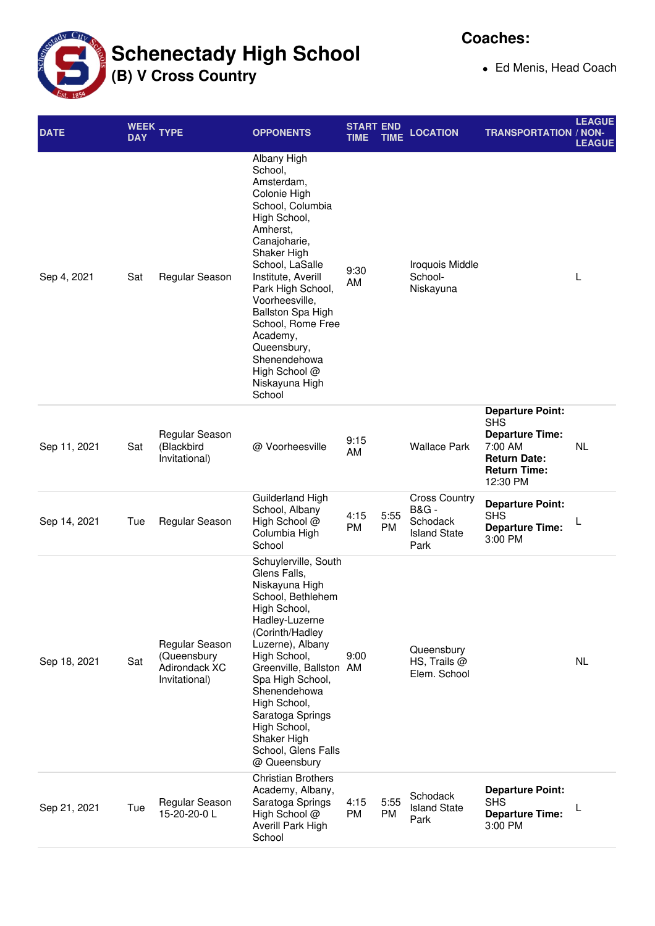**Schenectady High School**

**(B) V Cross Country**

**Coaches:**

Ed Menis, Head Coach

| <b>DATE</b>  | <b>WEEK</b><br><b>DAY</b> | <b>TYPE</b>                                                     | <b>OPPONENTS</b>                                                                                                                                                                                                                                                                                                                                             | <b>START END</b><br><b>TIME</b> | TIME              | <b>LOCATION</b>                                                                    | <b>TRANSPORTATION / NON-</b>                                                                                                         | <b>LEAGUE</b><br><b>LEAGUE</b> |
|--------------|---------------------------|-----------------------------------------------------------------|--------------------------------------------------------------------------------------------------------------------------------------------------------------------------------------------------------------------------------------------------------------------------------------------------------------------------------------------------------------|---------------------------------|-------------------|------------------------------------------------------------------------------------|--------------------------------------------------------------------------------------------------------------------------------------|--------------------------------|
| Sep 4, 2021  | Sat                       | Regular Season                                                  | Albany High<br>School,<br>Amsterdam,<br>Colonie High<br>School, Columbia<br>High School,<br>Amherst,<br>Canajoharie,<br>Shaker High<br>School, LaSalle<br>Institute, Averill<br>Park High School,<br>Voorheesville,<br><b>Ballston Spa High</b><br>School, Rome Free<br>Academy,<br>Queensbury,<br>Shenendehowa<br>High School @<br>Niskayuna High<br>School | 9:30<br>AM                      |                   | Iroquois Middle<br>School-<br>Niskayuna                                            |                                                                                                                                      | L                              |
| Sep 11, 2021 | Sat                       | Regular Season<br>(Blackbird<br>Invitational)                   | @ Voorheesville                                                                                                                                                                                                                                                                                                                                              | 9:15<br>AM                      |                   | <b>Wallace Park</b>                                                                | <b>Departure Point:</b><br><b>SHS</b><br><b>Departure Time:</b><br>7:00 AM<br><b>Return Date:</b><br><b>Return Time:</b><br>12:30 PM | <b>NL</b>                      |
| Sep 14, 2021 | Tue                       | Regular Season                                                  | Guilderland High<br>School, Albany<br>High School @<br>Columbia High<br>School                                                                                                                                                                                                                                                                               | 4:15<br>PM                      | 5:55<br><b>PM</b> | <b>Cross Country</b><br><b>B&amp;G-</b><br>Schodack<br><b>Island State</b><br>Park | <b>Departure Point:</b><br><b>SHS</b><br><b>Departure Time:</b><br>3:00 PM                                                           | L                              |
| Sep 18, 2021 | Sat                       | Regular Season<br>(Queensbury<br>Adirondack XC<br>Invitational) | Schuylerville, South<br>Glens Falls,<br>Niskayuna High<br>School, Bethlehem<br>High School,<br>Hadley-Luzerne<br>(Corinth/Hadley<br>Luzerne), Albany<br>High School,<br>Greenville, Ballston AM<br>Spa High School,<br>Shenendehowa<br>High School,<br>Saratoga Springs<br>High School,<br>Shaker High<br>School, Glens Falls<br>@ Queensbury                | 9:00                            |                   | Queensbury<br>HS, Trails $@$<br>Elem. School                                       |                                                                                                                                      | <b>NL</b>                      |
| Sep 21, 2021 | Tue                       | Regular Season<br>15-20-20-0L                                   | <b>Christian Brothers</b><br>Academy, Albany,<br>Saratoga Springs<br>High School @<br>Averill Park High<br>School                                                                                                                                                                                                                                            | 4:15<br>PM                      | 5:55<br><b>PM</b> | Schodack<br><b>Island State</b><br>Park                                            | <b>Departure Point:</b><br><b>SHS</b><br><b>Departure Time:</b><br>3:00 PM                                                           | L                              |